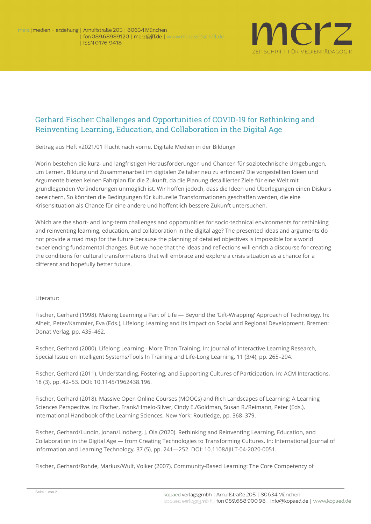

## Gerhard Fischer: Challenges and Opportunities of COVID-19 for Rethinking and Reinventing Learning, Education, and Collaboration in the Digital Age

**Beitrag aus Heft »2021/01 Flucht nach vorne. Digitale Medien in der Bildung«**

Worin bestehen die kurz- und langfristigen Herausforderungen und Chancen für soziotechnische Umgebungen, um Lernen, Bildung und Zusammenarbeit im digitalen Zeitalter neu zu erfinden? Die vorgestellten Ideen und Argumente bieten keinen Fahrplan für die Zukunft, da die Planung detaillierter Ziele für eine Welt mit grundlegenden Veränderungen unmöglich ist. Wir hoffen jedoch, dass die Ideen und Überlegungen einen Diskurs bereichern. So könnten die Bedingungen für kulturelle Transformationen geschaffen werden, die eine Krisensituation als Chance für eine andere und hoffentlich bessere Zukunft untersuchen.

Which are the short- and long-term challenges and opportunities for socio-technical environments for rethinking and reinventing learning, education, and collaboration in the digital age? The presented ideas and arguments do not provide a road map for the future because the planning of detailed objectives is impossible for a world experiencing fundamental changes. But we hope that the ideas and reflections will enrich a discourse for creating the conditions for cultural transformations that will embrace and explore a crisis situation as a chance for a different and hopefully better future.

## **Literatur:**

Fischer, Gerhard (1998). Making Learning a Part of Life — Beyond the 'Gift-Wrapping' Approach of Technology. In: Alheit, Peter/Kammler, Eva (Eds.), Lifelong Learning and Its Impact on Social and Regional Development. Bremen: Donat Verlag, pp. 435–462.

Fischer, Gerhard (2000). Lifelong Learning - More Than Training. In: Journal of Interactive Learning Research, Special Issue on Intelligent Systems/Tools In Training and Life-Long Learning, 11 (3/4), pp. 265–294.

Fischer, Gerhard (2011). Understanding, Fostering, and Supporting Cultures of Participation. In: ACM Interactions, 18 (3), pp. 42–53. DOI: 10.1145/1962438.196.

Fischer, Gerhard (2018). Massive Open Online Courses (MOOCs) and Rich Landscapes of Learning: A Learning Sciences Perspective. In: Fischer, Frank/Hmelo-Silver, Cindy E./Goldman, Susan R./Reimann, Peter (Eds.), International Handbook of the Learning Sciences, New York: Routledge, pp. 368–379.

Fischer, Gerhard/Lundin, Johan/Lindberg, J. Ola (2020). Rethinking and Reinventing Learning, Education, and Collaboration in the Digital Age — from Creating Technologies to Transforming Cultures. In: International Journal of Information and Learning Technology, 37 (5), pp. 241—252. DOI: 10.1108/IJILT-04-2020-0051.

Fischer, Gerhard/Rohde, Markus/Wulf, Volker (2007). Community-Based Learning: The Core Competency of